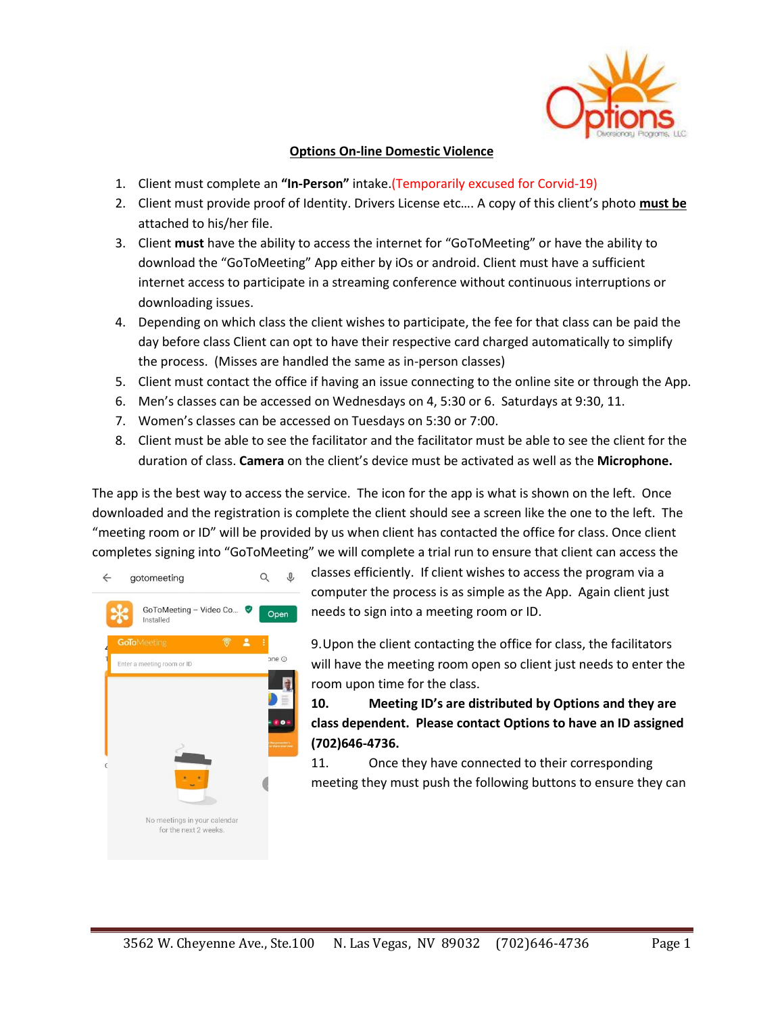

## **Options On-line Domestic Violence**

- 1. Client must complete an **"In-Person"** intake.(Temporarily excused for Corvid-19)
- 2. Client must provide proof of Identity. Drivers License etc…. A copy of this client's photo **must be** attached to his/her file.
- 3. Client **must** have the ability to access the internet for "GoToMeeting" or have the ability to download the "GoToMeeting" App either by iOs or android. Client must have a sufficient internet access to participate in a streaming conference without continuous interruptions or downloading issues.
- 4. Depending on which class the client wishes to participate, the fee for that class can be paid the day before class Client can opt to have their respective card charged automatically to simplify the process. (Misses are handled the same as in-person classes)
- 5. Client must contact the office if having an issue connecting to the online site or through the App.
- 6. Men's classes can be accessed on Wednesdays on 4, 5:30 or 6. Saturdays at 9:30, 11.
- 7. Women's classes can be accessed on Tuesdays on 5:30 or 7:00.
- 8. Client must be able to see the facilitator and the facilitator must be able to see the client for the duration of class. **Camera** on the client's device must be activated as well as the **Microphone.**

The app is the best way to access the service. The icon for the app is what is shown on the left. Once downloaded and the registration is complete the client should see a screen like the one to the left. The "meeting room or ID" will be provided by us when client has contacted the office for class. Once client completes signing into "GoToMeeting" we will complete a trial run to ensure that client can access the



classes efficiently. If client wishes to access the program via a computer the process is as simple as the App. Again client just needs to sign into a meeting room or ID.

9.Upon the client contacting the office for class, the facilitators will have the meeting room open so client just needs to enter the room upon time for the class.

**10. Meeting ID's are distributed by Options and they are class dependent. Please contact Options to have an ID assigned (702)646-4736.**

11. Once they have connected to their corresponding meeting they must push the following buttons to ensure they can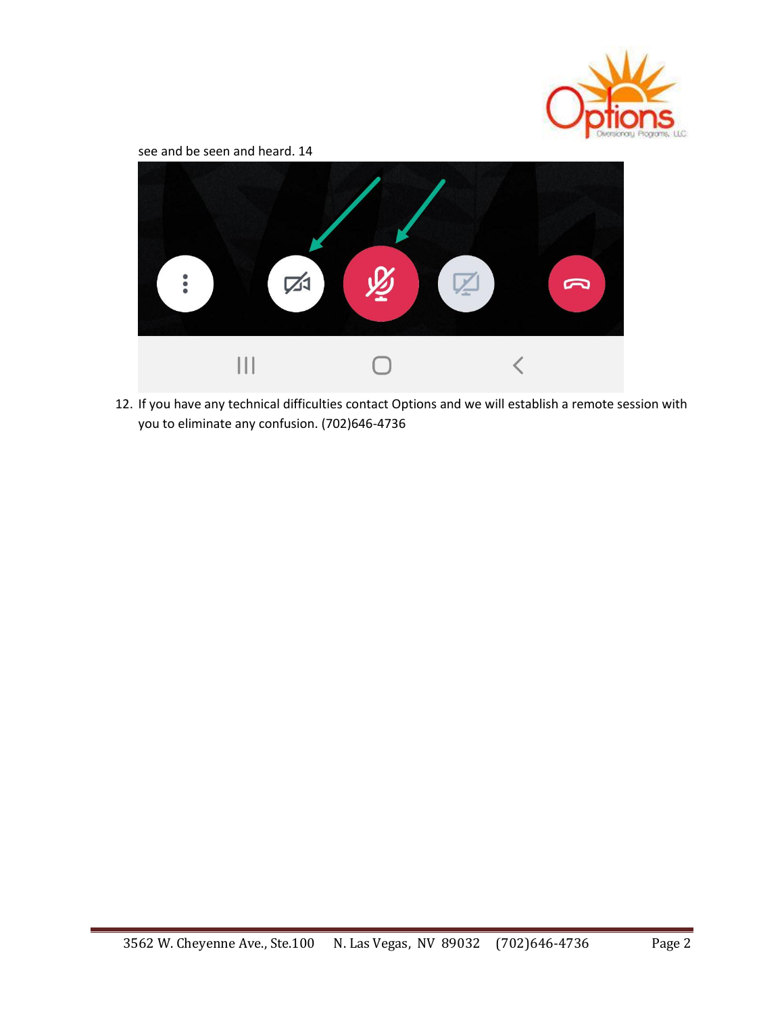

see and be seen and heard. 14



12. If you have any technical difficulties contact Options and we will establish a remote session with you to eliminate any confusion. (702)646-4736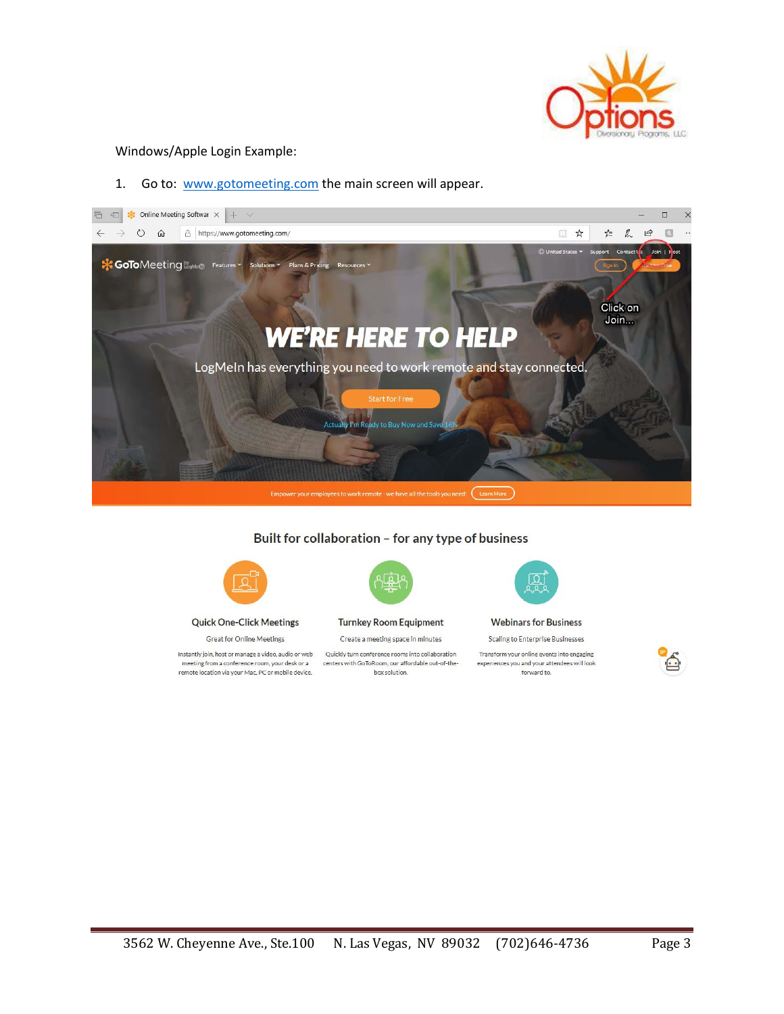

## Windows/Apple Login Example:

1. Go to: [www.gotomeeting.com](http://www.gotomeeting.com/) the main screen will appear.



## Built for collaboration - for any type of business

![](_page_2_Picture_5.jpeg)

**Quick One-Click Meetings** 

**Great for Online Meetings** 

Instantly join, host or manage a video, audio or web meeting from a conference room, your desk or a remote location via your Mac, PC or mobile device.

![](_page_2_Picture_9.jpeg)

**Turnkey Room Equipment** 

Create a meeting space in minutes

Quickly turn conference rooms into collaboration centers with GoToRoom, our affordable out-of-thebox solution.

![](_page_2_Picture_13.jpeg)

**Webinars for Business** 

**Scaling to Enterprise Businesses** 

Transform your online events into engaging experiences you and your attendees will look forward to.

![](_page_2_Picture_17.jpeg)